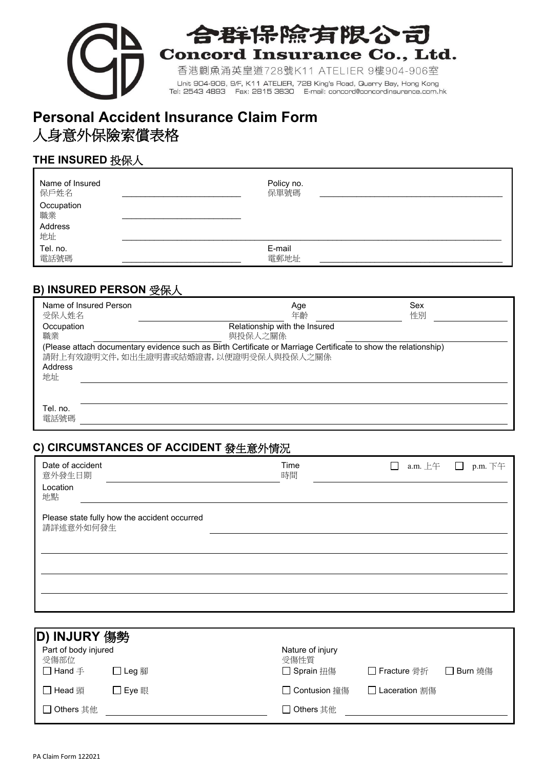

# 合群保除有限公司 **Concord Insurance Co., Ltd.**

香港鰂魚涌英皇道728號K11 ATELIER 9樓904-906室 Unit 904-906, 9/F, K11 ATELIER, 728 King's Road, Quarry Bay, Hong Kong<br>Tel: 2543 4893 Fax: 2815 3630 E-mail: concord@concordinsurance.com.hk

# **Personal Accident Insurance Claim Form** 人身意外保險索償表格

## **THE INSURED** 投保人

| Name of Insured                   | Policy no. |
|-----------------------------------|------------|
| 保戶姓名                              | 保單號碼       |
| Occupation<br>職業<br>Address<br>地址 |            |
| Tel. no.                          | E-mail     |
| 電話號碼                              | 電郵地址       |

### **B) INSURED PERSON** 受保人

| Name of Insured Person<br>受保人姓名 | Sex<br>Age<br>年齡<br>性別                                                                                                                                  |
|---------------------------------|---------------------------------------------------------------------------------------------------------------------------------------------------------|
| Occupation                      | Relationship with the Insured                                                                                                                           |
| 職業                              | 與投保人之關係                                                                                                                                                 |
| Address<br>地址                   | (Please attach documentary evidence such as Birth Certificate or Marriage Certificate to show the relationship)<br>請附上有效證明文件,如出生證明書或結婚證書,以便證明受保人與投保人之關係 |
| Tel. no.<br>電話號碼                |                                                                                                                                                         |

### **C) CIRCUMSTANCES OF ACCIDENT** 發生意外情況

| Date of accident<br>意外發生日期<br>Location<br>地點 |                                              | Time<br>時間 | □ a.m. 上午 □ p.m. 下午 |
|----------------------------------------------|----------------------------------------------|------------|---------------------|
| 請詳述意外如何發生                                    | Please state fully how the accident occurred |            |                     |
|                                              |                                              |            |                     |
|                                              |                                              |            |                     |

| D) INJURY 傷勢                 |         |                          |               |           |  |  |
|------------------------------|---------|--------------------------|---------------|-----------|--|--|
| Part of body injured<br>受傷部位 |         | Nature of injury<br>受傷性質 |               |           |  |  |
| $\square$ Hand $\mp$         | ]Leg 腳  | □ Sprain 扭傷              | □ Fracture 骨折 | □ Burn 燒傷 |  |  |
| □ Head 頭                     | ヿ Eve 眼 | □ Contusion 撞傷           | Laceration 割傷 |           |  |  |
| $\square$ Others 其他          |         | $\Box$ Others 其他         |               |           |  |  |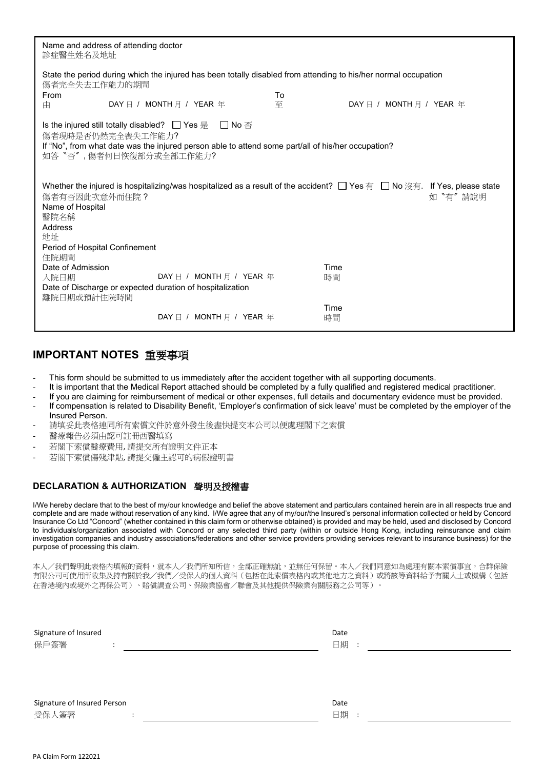| Name and address of attending doctor<br>診症醫生姓名及地址                                                                                                                                                      |  |                          |  |   |            |  |
|--------------------------------------------------------------------------------------------------------------------------------------------------------------------------------------------------------|--|--------------------------|--|---|------------|--|
| State the period during which the injured has been totally disabled from attending to his/her normal occupation<br>傷者完全失去工作能力的期間<br>To<br>From<br>DAY 日 / MONTH 月 / YEAR 年<br>DAY 日 / MONTH 月 / YEAR 年 |  |                          |  |   |            |  |
| 由<br>Is the injured still totally disabled? □ Yes 是 □ No 否                                                                                                                                             |  |                          |  | 至 |            |  |
| 傷者現時是否仍然完全喪失工作能力?<br>If "No", from what date was the injured person able to attend some part/all of his/her occupation?<br>如答"否", 傷者何日恢復部分或全部工作能力?                                                     |  |                          |  |   |            |  |
| Whether the injured is hospitalizing/was hospitalized as a result of the accident? □ Yes 有 □ No 沒有. If Yes, please state<br>傷者有否因此次意外而住院?<br>如 "有"請說明<br>Name of Hospital<br>醫院名稱<br>Address<br>地址     |  |                          |  |   |            |  |
| Period of Hospital Confinement<br>住院期間                                                                                                                                                                 |  |                          |  |   |            |  |
| Date of Admission<br>Time<br>DAY $\boxdot$ / MONTH $\boxdot$ / YEAR $\cong$<br>時間<br>入院日期<br>Date of Discharge or expected duration of hospitalization<br>離院日期或預計住院時間                                  |  |                          |  |   |            |  |
|                                                                                                                                                                                                        |  | DAY 日 / MONTH 月 / YEAR 年 |  |   | Time<br>時間 |  |

#### **IMPORTANT NOTES** 重要事項

- This form should be submitted to us immediately after the accident together with all supporting documents.
- It is important that the Medical Report attached should be completed by a fully qualified and registered medical practitioner.
- If you are claiming for reimbursement of medical or other expenses, full details and documentary evidence must be provided.
- If compensation is related to Disability Benefit, 'Employer's confirmation of sick leave' must be completed by the employer of the Insured Person.
- 請填妥此表格連同所有索償文件於意外發生後盡快提交本公司以便處理閣下之索償
- 醫療報告必須由認可註冊西醫填寫
- 若閣下索償醫療費用, 請提交所有證明文件正本
- 若閣下索償傷殘津貼, 請提交僱主認可的病假證明書

#### **DECLARATION & AUTHORIZATION** 聲明及授權書

I/We hereby declare that to the best of my/our knowledge and belief the above statement and particulars contained herein are in all respects true and complete and are made without reservation of any kind. I/We agree that any of my/our/the Insured's personal information collected or held by Concord Insurance Co Ltd "Concord" (whether contained in this claim form or otherwise obtained) is provided and may be held, used and disclosed by Concord to individuals/organization associated with Concord or any selected third party (within or outside Hong Kong, including reinsurance and claim investigation companies and industry associations/federations and other service providers providing services relevant to insurance business) for the purpose of processing this claim.

本人/我們聲明此表格內填報的資料,就本人/我們所知所信,全部正確無訛,並無任何保留。本人/我們同意如為處理有關本索償事宜,合群保險 有限公司可使用所收集及持有關於我/我們/受保人的個人資料(包括在此索償表格內或其他地方之資料)或將該等資料給予有關人士或機構(包括 在香港境內或境外之再保公司)、賠償調查公司、保險業協會/聯會及其他提供保險業有關服務之公司等)。

| Signature of Insured<br>保戶簽署<br>٠    |           | Date<br>日期<br>$\therefore$ |
|--------------------------------------|-----------|----------------------------|
| Signature of Insured Person<br>受保人簽署 | $\bullet$ | Date<br>日期:                |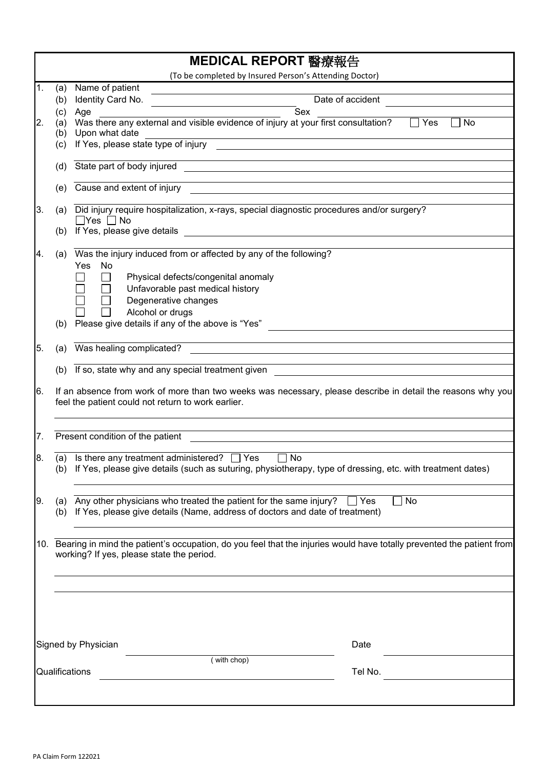|                |            | MEDICAL REPORT 醫療報告                                                                                                                                                    |                  |  |  |  |
|----------------|------------|------------------------------------------------------------------------------------------------------------------------------------------------------------------------|------------------|--|--|--|
|                |            | (To be completed by Insured Person's Attending Doctor)                                                                                                                 |                  |  |  |  |
| 1.             | (a)        | Name of patient                                                                                                                                                        |                  |  |  |  |
|                | (b)        | Identity Card No.<br>Sex                                                                                                                                               | Date of accident |  |  |  |
| 2.             | (c)<br>(a) | Age<br>Was there any external and visible evidence of injury at your first consultation?                                                                               | Yes<br>No        |  |  |  |
|                | (b)        | Upon what date                                                                                                                                                         |                  |  |  |  |
|                | (c)        | If Yes, please state type of injury<br><u> 1989 - John Stein, mars and de final and de final and de final and de final and de final and de final and de</u>            |                  |  |  |  |
|                |            |                                                                                                                                                                        |                  |  |  |  |
|                | (d)        | State part of body injured<br><u> 1989 - Johann John Stein, fransk politik (</u>                                                                                       |                  |  |  |  |
|                |            |                                                                                                                                                                        |                  |  |  |  |
|                | (e)        | Cause and extent of injury                                                                                                                                             |                  |  |  |  |
| 3.             | (a)        | Did injury require hospitalization, x-rays, special diagnostic procedures and/or surgery?                                                                              |                  |  |  |  |
|                |            | $\Box$ Yes $\Box$ No                                                                                                                                                   |                  |  |  |  |
|                | (b)        | If Yes, please give details<br><u> 1980 - Jan Stein Bernstein, marking am de British (b. 1980)</u>                                                                     |                  |  |  |  |
|                |            |                                                                                                                                                                        |                  |  |  |  |
| 14.            | (a)        | Was the injury induced from or affected by any of the following?                                                                                                       |                  |  |  |  |
|                |            | Yes<br>No                                                                                                                                                              |                  |  |  |  |
|                |            | Physical defects/congenital anomaly                                                                                                                                    |                  |  |  |  |
|                |            | Unfavorable past medical history                                                                                                                                       |                  |  |  |  |
|                |            | Degenerative changes<br>Alcohol or drugs                                                                                                                               |                  |  |  |  |
|                | (b)        | Please give details if any of the above is "Yes"                                                                                                                       |                  |  |  |  |
|                |            |                                                                                                                                                                        |                  |  |  |  |
| 5.             | (a)        | and the control of the control of the control of the control of the control of the control of the control of the<br>Was healing complicated?                           |                  |  |  |  |
|                |            | <u> 1989 - Johann Stein, mars an deus Amerikaansk kommunister (d. 1989)</u>                                                                                            |                  |  |  |  |
|                |            | (b) If so, state why and any special treatment given                                                                                                                   |                  |  |  |  |
| 16.            |            | If an absence from work of more than two weeks was necessary, please describe in detail the reasons why you<br>feel the patient could not return to work earlier.      |                  |  |  |  |
| 7.             |            | Present condition of the patient                                                                                                                                       |                  |  |  |  |
|                |            |                                                                                                                                                                        |                  |  |  |  |
| 8.             |            | (a) Is there any treatment administered? $\Box$ Yes $\Box$ No                                                                                                          |                  |  |  |  |
|                |            | (b) If Yes, please give details (such as suturing, physiotherapy, type of dressing, etc. with treatment dates)                                                         |                  |  |  |  |
|                |            |                                                                                                                                                                        |                  |  |  |  |
| 9.             | (b)        | (a) Any other physicians who treated the patient for the same injury? $\Box$ Yes<br>If Yes, please give details (Name, address of doctors and date of treatment)       | No               |  |  |  |
|                |            | 10. Bearing in mind the patient's occupation, do you feel that the injuries would have totally prevented the patient from<br>working? If yes, please state the period. |                  |  |  |  |
|                |            |                                                                                                                                                                        |                  |  |  |  |
|                |            |                                                                                                                                                                        |                  |  |  |  |
|                |            |                                                                                                                                                                        |                  |  |  |  |
|                |            |                                                                                                                                                                        |                  |  |  |  |
|                |            |                                                                                                                                                                        |                  |  |  |  |
|                |            | Signed by Physician                                                                                                                                                    | Date             |  |  |  |
|                |            | (with chop)                                                                                                                                                            |                  |  |  |  |
| Qualifications |            |                                                                                                                                                                        | Tel No.          |  |  |  |
|                |            |                                                                                                                                                                        |                  |  |  |  |
|                |            |                                                                                                                                                                        |                  |  |  |  |